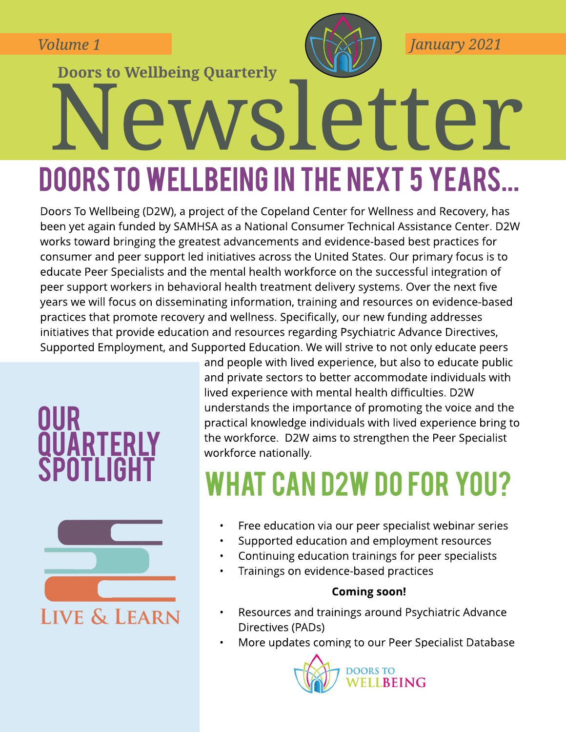**Volume 1**

**Doors to Wellbeing Quarterly** 



**January 2021**

# Newsletter DOORS TO WELLBEING IN THE NEXT 5 YEARS...

Doors To Wellbeing (D2W), a project of the Copeland Center for Wellness and Recovery, has been yet again funded by SAMHSA as a National Consumer Technical Assistance Center. D2W works toward bringing the greatest advancements and evidence-based best practices for consumer and peer support led initiatives across the United States. Our primary focus is to educate Peer Specialists and the mental health workforce on the successful integration of peer support workers in behavioral health treatment delivery systems. Over the next five years we will focus on disseminating information, training and resources on evidence-based practices that promote recovery and wellness. Specifically, our new funding addresses initiatives that provide education and resources regarding Psychiatric Advance Directives, Supported Employment, and Supported Education. We will strive to not only educate peers

### **OUR QUARTERLY** SPOTLIGH<sub>1</sub>



and people with lived experience, but also to educate public and private sectors to better accommodate individuals with lived experience with mental health difficulties. D2W understands the importance of promoting the voice and the practical knowledge individuals with lived experience bring to the workforce. D2W aims to strengthen the Peer Specialist workforce nationally.

# **WHAT CAN D2W DO FOR YOU?**

- Free education via our peer specialist webinar series
- Supported education and employment resources
- Continuing education trainings for peer specialists
- Trainings on evidence-based practices

#### **Coming soon!**

- Resources and trainings around Psychiatric Advance Directives (PADs)
- More updates coming to our Peer Specialist Database

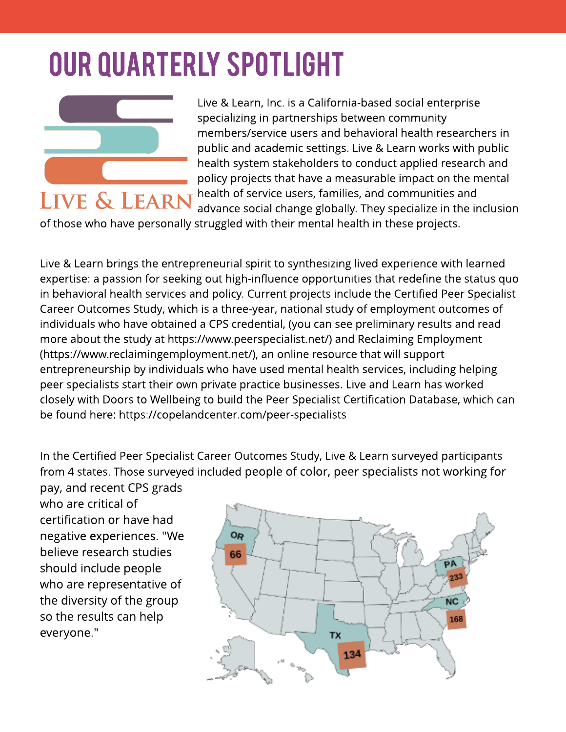# **OUR QUARTERLY SPOTLIGHT**



Live & Learn, Inc. is a California-based social enterprise specializing in partnerships between community members/service users and behavioral health researchers in public and academic settings. Live & Learn works with public health system stakeholders to conduct applied research and policy projects that have a measurable impact on the mental health of service users, families, and communities and advance social change globally. They specialize in the inclusion

of those who have personally struggled with their mental health in these projects.

Live & Learn brings the entrepreneurial spirit to synthesizing lived experience with learned expertise: a passion for seeking out high-influence opportunities that redefine the status quo in behavioral health services and policy. Current projects include the Certified Peer Specialist Career Outcomes Study, which is a three-year, national study of employment outcomes of individuals who have obtained a CPS credential, (you can see preliminary results and read more about the study at [https://www.peerspecialist.net/\)](https://www.peerspecialist.net/) and Reclaiming Employment [\(https://www.reclaimingemployment.net/](https://www.reclaimingemployment.net/)), an online resource that will support entrepreneurship by individuals who have used mental health services, including helping peer specialists start their own private practice businesses. Live and Learn has worked closely with Doors to Wellbeing to build the Peer Specialist Certification Database, which can be found here: <https://copelandcenter.com/peer-specialists>

In the Certified Peer Specialist Career Outcomes Study, Live & Learn surveyed participants from 4 states. Those surveyed included people of color, peer specialists not working for pay, and recent CPSgrads

who are critical of certification or have had negative experiences. "We believe research studies should include people who are representative of the diversity of the group so the results can help everyone."

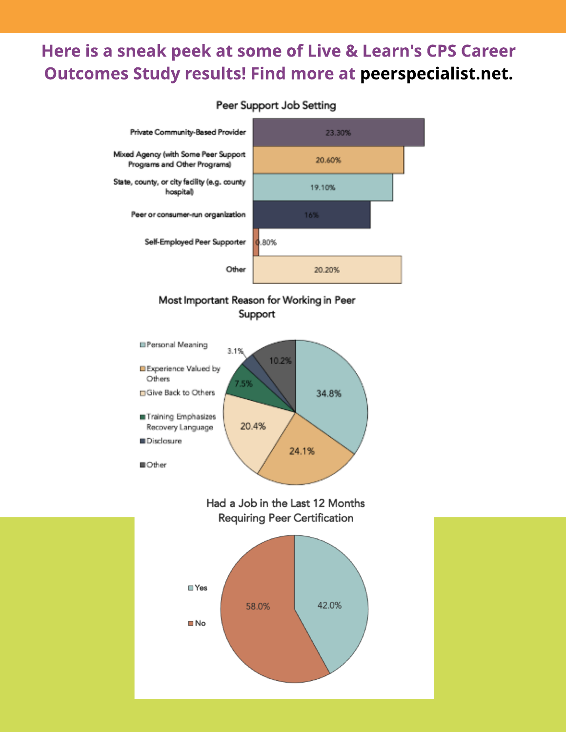#### Here is a sneak peek at some of Live & Learn's CPS Career **Outcomes Study results! Find more at peerspecialist.net.**



#### Most Important Reason for Working in Peer Support



Had a Job in the Last 12 Months **Requiring Peer Certification**